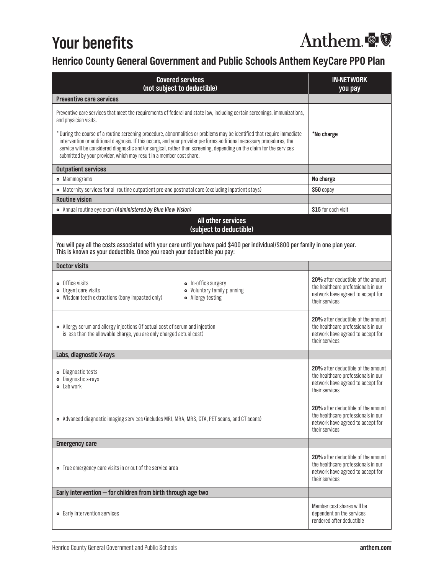# **Your benefits**

# Anthem &

## **Henrico County General Government and Public Schools Anthem KeyCare PPO Plan**

| <b>Covered services</b><br>(not subject to deductible)                                                                                                                                                                                                                                                                                                                                                                                                                                                                                                                                                    | <b>IN-NETWORK</b><br>you pay                                                                                                            |
|-----------------------------------------------------------------------------------------------------------------------------------------------------------------------------------------------------------------------------------------------------------------------------------------------------------------------------------------------------------------------------------------------------------------------------------------------------------------------------------------------------------------------------------------------------------------------------------------------------------|-----------------------------------------------------------------------------------------------------------------------------------------|
| <b>Preventive care services</b>                                                                                                                                                                                                                                                                                                                                                                                                                                                                                                                                                                           |                                                                                                                                         |
| Preventive care services that meet the requirements of federal and state law, including certain screenings, immunizations,<br>and physician visits.<br>* During the course of a routine screening procedure, abnormalities or problems may be identified that require immediate<br>intervention or additional diagnosis. If this occurs, and your provider performs additional necessary procedures, the<br>service will be considered diagnostic and/or surgical, rather than screening, depending on the claim for the services<br>submitted by your provider, which may result in a member cost share. | *No charge                                                                                                                              |
| <b>Outpatient services</b>                                                                                                                                                                                                                                                                                                                                                                                                                                                                                                                                                                                |                                                                                                                                         |
| • Mammograms                                                                                                                                                                                                                                                                                                                                                                                                                                                                                                                                                                                              | No charge                                                                                                                               |
| • Maternity services for all routine outpatient pre-and postnatal care (excluding inpatient stays)                                                                                                                                                                                                                                                                                                                                                                                                                                                                                                        | \$50 copay                                                                                                                              |
| <b>Routine vision</b>                                                                                                                                                                                                                                                                                                                                                                                                                                                                                                                                                                                     |                                                                                                                                         |
| • Annual routine eye exam (Administered by Blue View Vision)<br>All other services<br>(subject to deductible)                                                                                                                                                                                                                                                                                                                                                                                                                                                                                             | \$15 for each visit                                                                                                                     |
| You will pay all the costs associated with your care until you have paid \$400 per individual/\$800 per family in one plan year.<br>This is known as your deductible. Once you reach your deductible you pay:                                                                                                                                                                                                                                                                                                                                                                                             |                                                                                                                                         |
| <b>Doctor visits</b>                                                                                                                                                                                                                                                                                                                                                                                                                                                                                                                                                                                      |                                                                                                                                         |
| $\bullet$ Office visits<br>• In-office surgery<br>• Voluntary family planning<br>• Urgent care visits<br>• Wisdom teeth extractions (bony impacted only)<br>• Allergy testing                                                                                                                                                                                                                                                                                                                                                                                                                             | 20% after deductible of the amount<br>the healthcare professionals in our<br>network have agreed to accept for<br>their services        |
| • Allergy serum and allergy injections (if actual cost of serum and injection<br>is less than the allowable charge, you are only charged actual cost)                                                                                                                                                                                                                                                                                                                                                                                                                                                     | <b>20%</b> after deductible of the amount<br>the healthcare professionals in our<br>network have agreed to accept for<br>their services |
| Labs, diagnostic X-rays                                                                                                                                                                                                                                                                                                                                                                                                                                                                                                                                                                                   |                                                                                                                                         |
| · Diagnostic tests<br>• Diagnostic x-rays<br><b>o</b> Lab work                                                                                                                                                                                                                                                                                                                                                                                                                                                                                                                                            | 20% after deductible of the amount<br>the healthcare professionals in our<br>network have agreed to accept for<br>their services        |
| • Advanced diagnostic imaging services (includes MRI, MRA, MRS, CTA, PET scans, and CT scans)                                                                                                                                                                                                                                                                                                                                                                                                                                                                                                             | 20% after deductible of the amount<br>the healthcare professionals in our<br>network have agreed to accept for<br>their services        |
| <b>Emergency care</b>                                                                                                                                                                                                                                                                                                                                                                                                                                                                                                                                                                                     |                                                                                                                                         |
| • True emergency care visits in or out of the service area                                                                                                                                                                                                                                                                                                                                                                                                                                                                                                                                                | 20% after deductible of the amount<br>the healthcare professionals in our<br>network have agreed to accept for<br>their services        |
| Early intervention - for children from birth through age two                                                                                                                                                                                                                                                                                                                                                                                                                                                                                                                                              |                                                                                                                                         |
| • Early intervention services                                                                                                                                                                                                                                                                                                                                                                                                                                                                                                                                                                             | Member cost shares will be<br>dependent on the services<br>rendered after deductible                                                    |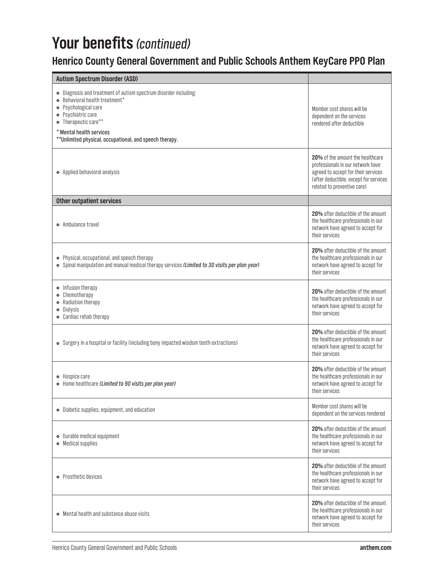# Your benefits (continued)

## **Henrico County General Government and Public Schools Anthem KeyCare PPO Plan**

| <b>Autism Spectrum Disorder (ASD)</b>                                                                                                                                                                                                                            |                                                                                                                                                                                       |
|------------------------------------------------------------------------------------------------------------------------------------------------------------------------------------------------------------------------------------------------------------------|---------------------------------------------------------------------------------------------------------------------------------------------------------------------------------------|
| · Diagnosis and treatment of autism spectrum disorder including:<br>• Behavioral health treatment*<br>· Psychological care<br>· Psychiatric care<br>• Therapeutic care**<br>* Mental health services<br>** Unlimited physical, occupational, and speech therapy. | Member cost shares will be<br>dependent on the services<br>rendered after deductible                                                                                                  |
| • Applied behavioral analysis                                                                                                                                                                                                                                    | 20% of the amount the healthcare<br>professionals in our network have<br>agreed to accept for their services<br>(after deductible, except for services<br>related to preventive care) |
| <b>Other outpatient services</b>                                                                                                                                                                                                                                 |                                                                                                                                                                                       |
| • Ambulance travel                                                                                                                                                                                                                                               | 20% after deductible of the amount<br>the healthcare professionals in our<br>network have agreed to accept for<br>their services                                                      |
| • Physical, occupational, and speech therapy<br>• Spinal manipulation and manual medical therapy services (Limited to 30 visits per plan year)                                                                                                                   | 20% after deductible of the amount<br>the healthcare professionals in our<br>network have agreed to accept for<br>their services                                                      |
| • Infusion therapy<br>• Chemotherapy<br>• Radiation therapy<br><b>•</b> Dialysis<br>• Cardiac rehab therapy                                                                                                                                                      | 20% after deductible of the amount<br>the healthcare professionals in our<br>network have agreed to accept for<br>their services                                                      |
| • Surgery in a hospital or facility (including bony impacted wisdom teeth extractions)                                                                                                                                                                           | 20% after deductible of the amount<br>the healthcare professionals in our<br>network have agreed to accept for<br>their services                                                      |
| • Hospice care<br>• Home healthcare (Limited to 90 visits per plan year)                                                                                                                                                                                         | 20% after deductible of the amount<br>the healthcare professionals in our<br>network have agreed to accept for<br>their services                                                      |
| • Diabetic supplies, equipment, and education                                                                                                                                                                                                                    | Member cost shares will be<br>dependent on the services rendered                                                                                                                      |
| • Durable medical equipment<br>• Medical supplies                                                                                                                                                                                                                | 20% after deductible of the amount<br>the healthcare professionals in our<br>network have agreed to accept for<br>their services                                                      |
| • Prosthetic devices                                                                                                                                                                                                                                             | 20% after deductible of the amount<br>the healthcare professionals in our<br>network have agreed to accept for<br>their services                                                      |
| • Mental health and substance abuse visits                                                                                                                                                                                                                       | 20% after deductible of the amount<br>the healthcare professionals in our<br>network have agreed to accept for<br>their services                                                      |